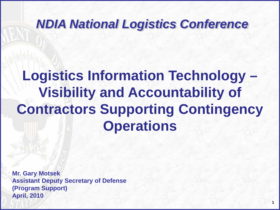### *NDIA National Logistics Conference*

# **Logistics Information Technology – Visibility and Accountability of Contractors Supporting Contingency Operations**

**Mr. Gary Motsek Assistant Deputy Secretary of Defense (Program Support) April, 2010**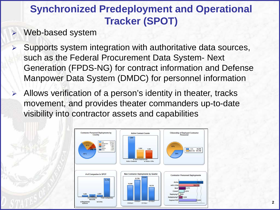### **Synchronized Predeployment and Operational Tracker (SPOT)**

- Web-based system
- $\triangleright$  Supports system integration with authoritative data sources, such as the Federal Procurement Data System- Next Generation (FPDS-NG) for contract information and Defense Manpower Data System (DMDC) for personnel information
- Allows verification of a person's identity in theater, tracks movement, and provides theater commanders up-to-date visibility into contractor assets and capabilities

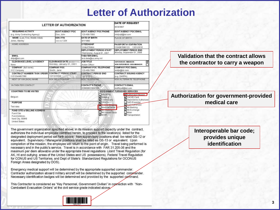### **Letter of Authorization**

| <b>LETTER OF AUTHORIZATION</b>                                                                         |                                                               |                                                              |                                                              | DATE OF REQUEST<br>8/23/2007                                                                                                   |
|--------------------------------------------------------------------------------------------------------|---------------------------------------------------------------|--------------------------------------------------------------|--------------------------------------------------------------|--------------------------------------------------------------------------------------------------------------------------------|
| <b>REQUIRING ACTIVITY</b>                                                                              | <b>GOVT AGENCY POC</b>                                        | GOVT AGENCY POC PHONE                                        |                                                              | <b>GOVT AGENCY POC EMAIL</b>                                                                                                   |
| (e.g. Army Contracting Agency)                                                                         | Doe, John                                                     | 123-456-7890                                                 |                                                              | Iskdisdif@tst.com                                                                                                              |
| NAME (Last, First, Middle Initial)<br>Jones, Stanley                                                   | <b>SSN / FIN</b><br>xxx-xx-1234                               | DATE OF BIRTH<br>6/1/1960                                    |                                                              | PLACE OF BIRTH                                                                                                                 |
| <b>HOME ADDRESS</b>                                                                                    |                                                               | <b>CITIZENSHIP</b><br><b>United States</b>                   |                                                              | PASSPORT # / EXPIRATION<br>1234567890123<br>12/31/2010                                                                         |
|                                                                                                        |                                                               | <b>DEPLOYMENT PERIOD START</b><br>Wednesday, August 01, 2007 |                                                              | DEPLOYMENT PERIOD END<br>Monday, September 01, 2008                                                                            |
| <b>EMAIL</b><br>sfoisl@tst.com                                                                         |                                                               | THEATER EMAIL<br>te st.data@us.army.mil                      |                                                              |                                                                                                                                |
| CLEARANCE LEVEL W/ AGENCY<br>None                                                                      | <b>CLEARANCE DATE (MMOD/YYYY)</b><br>Monday, January 01, 0001 | <b>JOB TITLE</b><br>Action Officer                           |                                                              | SUPERVISOR / MAN AGER<br>☑<br><b>NON-SUPERVISOR/HON-MANAGER</b>                                                                |
| COMPANY (full name)<br>XYZ Company                                                                     | <b>COMPANY POC</b><br>Smith, Jane                             | COMPANY POC TELEPHONE<br>123-456-7890                        |                                                              | COMPANY POC EMAIL<br>skálik@tst.com                                                                                            |
| CONTRACT NUMBER/ TASK ORDER CONTRACT PERIOD START<br>XYZ1234/ABC7890                                   | 12/12/2006                                                    | <b>CONTRACT PERIOD END</b><br>12/12/2012                     |                                                              | CONTRACT ISSUING AGENCY<br>(e.g. DARPA)                                                                                        |
| NEXT OF KIN (NOK) NAME                                                                                 | <b>NOK RELATIONSHIP</b>                                       | <b>NOK TELEPHONE</b>                                         |                                                              | <b>NOK ALTERNATE TELEPHONE</b>                                                                                                 |
| <b>IN-THEATER CONTACT</b>                                                                              |                                                               | <b>CONTACT'S PHONE</b><br>029938023984298                    |                                                              | <b>CONTACT'S EMAIL</b><br>skdflkjsdf@tst.com                                                                                   |
| <b>COUNTRIES TO BE VISITED</b>                                                                         |                                                               |                                                              | <b>GOVERNMENT FURNISHED SERVICES</b>                         |                                                                                                                                |
| Belgium<br><b>PURPOSE</b><br>Test data                                                                 |                                                               |                                                              | APO/EPA<br>Bileting<br>Commissary<br>OFACS<br>Medical/Dental | MAuthorized Weapon<br>CAC/ID Card<br>Dependents Authorized<br>DoDI Essential<br>Fuel Authorized<br>Mil Banking<br>Mil Exchange |
| FUND CITE w/ BILLING ADDRESS<br>Fund Cite<br>Fund Address,<br>fund City, 55848<br><b>United States</b> |                                                               |                                                              | Mill Clothing<br>Millssued Equip<br><b>MAVIR</b>             | Milair<br>Transportation                                                                                                       |

The government organization specified above, in its mission support capacity under the contract, authorizes the individual employee identified herein, to proceed to the location(s) listed for the designated deployment period set forth above. Non-supervisory positions shall be rated GS-12 or equivalent. Supervisory / Managerial positions shall be rated as GS-13 or equivalent. Upon completion of the mission, the employee will return to the point of origin. Travel being performed is necessary and in the public's service. Travel is in accordance with FAR 31.205-36 and the maximum per diem allowable under the appropriate travel regulations (Joint Travel Regulation (for AK, HI and outlying areas of the United States and US possessions), Federal Travel Regulation for CONUS and US Territories, and Dept of State's Standardized Regulations for OCONUS Foreign Areas designated by DOS).

Emergency medical support will be determined by the appropriate supported commander. Contractor authorization aboard military aircraft will be determined by the supported commander. Necessary identification badges will be determined and provided by the supported command.

This Contractor is considered as "Key Personnel, Government Civilian" in connection with "Non-Combatant Evacuation Orders" at the civil service grade indicated above.

#### **Validation that the contract allows the contractor to carry a weapon**

#### **Authorization for government-provided medical care**

**Interoperable bar code; provides unique identification**

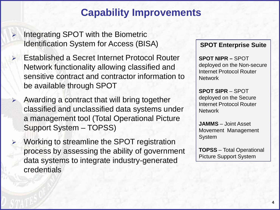### **Capability Improvements**

- $\triangleright$  Integrating SPOT with the Biometric Identification System for Access (BISA)
- Established a Secret Internet Protocol Router Network functionality allowing classified and sensitive contract and contractor information to be available through SPOT
- Awarding a contract that will bring together classified and unclassified data systems under a management tool (Total Operational Picture Support System – TOPSS)
	- Working to streamline the SPOT registration process by assessing the ability of government data systems to integrate industry-generated credentials

#### **SPOT Enterprise Suite**

**SPOT NIPR –** SPOT deployed on the Non-secure Internet Protocol Router **Network** 

**SPOT SIPR** – SPOT deployed on the Secure Internet Protocol Router **Network** 

**JAMMS** – Joint Asset Movement Management System

**TOPSS** – Total Operational Picture Support System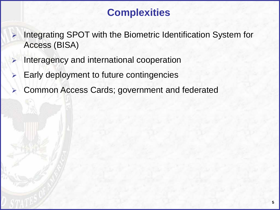### **Complexities**

- $\triangleright$  Integrating SPOT with the Biometric Identification System for Access (BISA)
- $\triangleright$  Interagency and international cooperation
- Early deployment to future contingencies
- Common Access Cards; government and federated